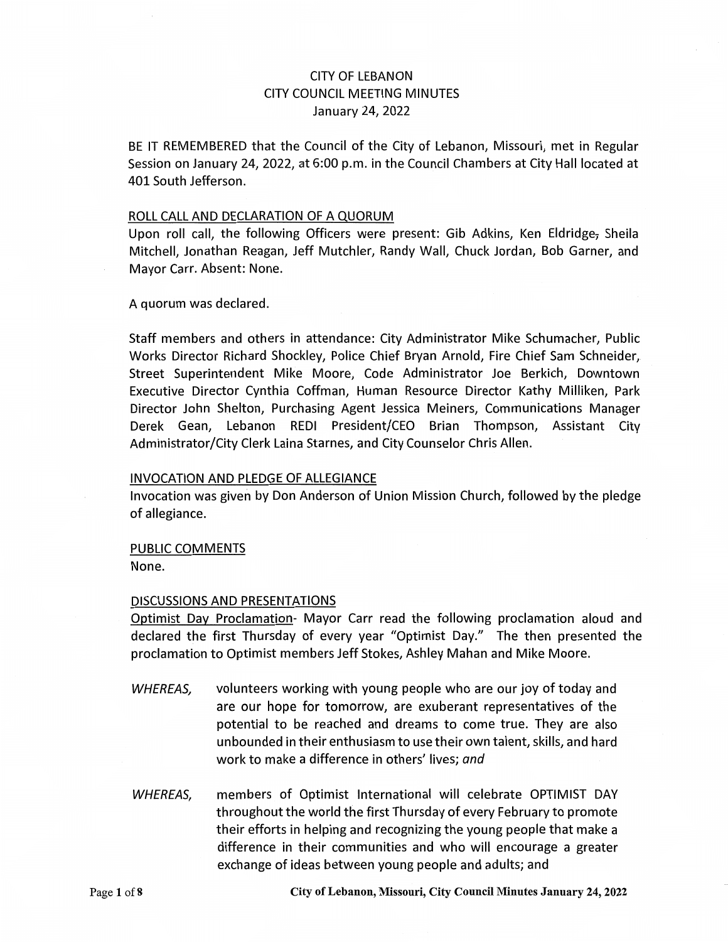# CITY OF LEBANON CITY COUNCIL MEETING MINUTES January 24, 2022

BE IT REMEMBERED that the Council of the City of Lebanon, Missouri, met in Regular Session on January 24, 2022, at 6:00 p.m. in the Council Chambers at City Hall located at 401 South Jefferson.

#### ROLL CALL AND DECLARATION OF A QUORUM

Upon roll call, the following Officers were present: Gib Adkins, Ken Eldridge, Sheila Mitchell, Jonathan Reagan, Jeff Mutchler, Randy Wall, Chuck Jordan, Bob Garner, and Mayor Carr. Absent: None.

A quorum was declared.

Staff members and others in attendance: City Administrator Mike Schumacher, Public Works Director Richard Shockley, Police Chief Bryan Arnold, Fire Chief Sam Schneider, Street Superintendent Mike Moore, Code Administrator Joe Berkich, Downtown Executive Director Cynthia Coffman, Human Resource Director Kathy Milliken, Park Director John Shelton, Purchasing Agent Jessica Meiners, Communications Manager Derek Gean, Lebanon REDI President/CEO Brian Thompson, Assistant City Administrator/City Clerk Laina Starnes, and City Counselor Chris Allen.

#### INVOCATION AND PLEDGE OF ALLEGIANCE

Invocation was given by Don Anderson of Union Mission Church, followed by the pledge of allegiance.

### PUBLIC COMMENTS

None.

### DISCUSSIONS AND PRESENTATIONS

Optimist Day Proclamation- Mayor Carr read the following proclamation aloud and declared the first Thursday of every year "Optimist Day." The then presented the proclamation to Optimist members Jeff Stokes, Ashley Mahan and Mike Moore.

- WHEREAS, volunteers working with young people who are our joy of today and are our hope for tomorrow, are exuberant representatives of the potential to be reached and dreams to come true. They are also unbounded in their enthusiasm to use their own talent, skills, and hard work to make a difference in others' lives; *and*
- WHEREAS, members of Optimist International will celebrate OPTIMIST DAY throughout the world the first Thursday of every February to promote their efforts in helping and recognizing the young people that make a difference in their communities and who will encourage a greater exchange of ideas between young people and adults; and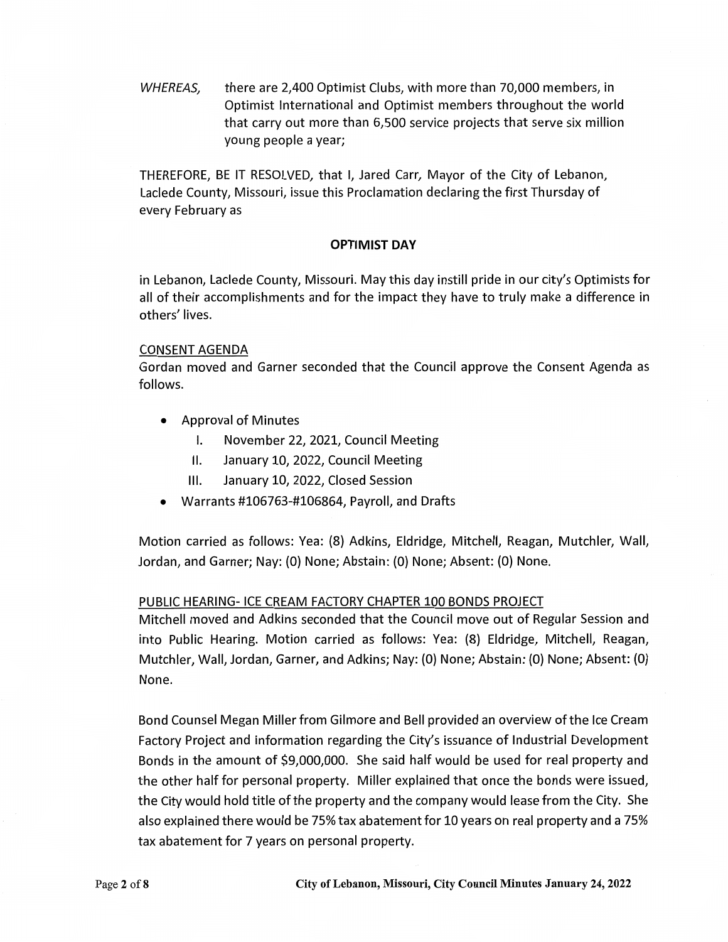WHEREAS, there are 2,400 Optimist Clubs, with more than 70,000 members, in Optimist International and Optimist members throughout the world that carry out more than 6,500 service projects that serve six million young people a year;

THEREFORE, BE IT RESOLVED, that I, Jared Carr, Mayor of the City of Lebanon, Laclede County, Missouri, issue this Proclamation declaring the first Thursday of every February as

## **OPTIMIST DAY**

in Lebanon, Laclede County, Missouri. May this day instill pride in our city's Optimists for all of their accomplishments and for the impact they have to truly make a difference in others' lives.

### CONSENT AGENDA

Gordan moved and Garner seconded that the Council approve the Consent Agenda as follows.

- Approval of Minutes
	- I. November 22, 2021, Council Meeting
	- II. January 10, 2022, Council Meeting
	- Ill. January 10, 2022, Closed Session
- Warrants #106763-#106864, Payroll, and Drafts

Motion carried as follows: Yea: (8) Adkins, Eldridge, Mitchell, Reagan, Mutchler, Wall, Jordan, and Garner; Nay: (0) None; Abstain: (0) None; Absent: (0) None.

## PUBLIC HEARING- ICE CREAM FACTORY CHAPTER 100 BONDS PROJECT

Mitchell moved and Adkins seconded that the Council move out of Regular Session and into Public Hearing. Motion carried as follows: Yea: (8) Eldridge, Mitchell, Reagan, Mutchler, Wall, Jordan, Garner, and Adkins; Nay: (0) None; Abstain: (0) None; Absent: (0) None.

Bond Counsel Megan Miller from Gilmore and Bell provided an overview of the Ice Cream Factory Project and information regarding the City's issuance of Industrial Development Bonds in the amount of \$9,000,000. She said half would be used for real property and the other half for personal property. Miller explained that once the bonds were issued, the City would hold title of the property and the company would lease from the City. She also explained there would be 75% tax abatement for 10 years on real property and a 75% tax abatement for 7 years on personal property.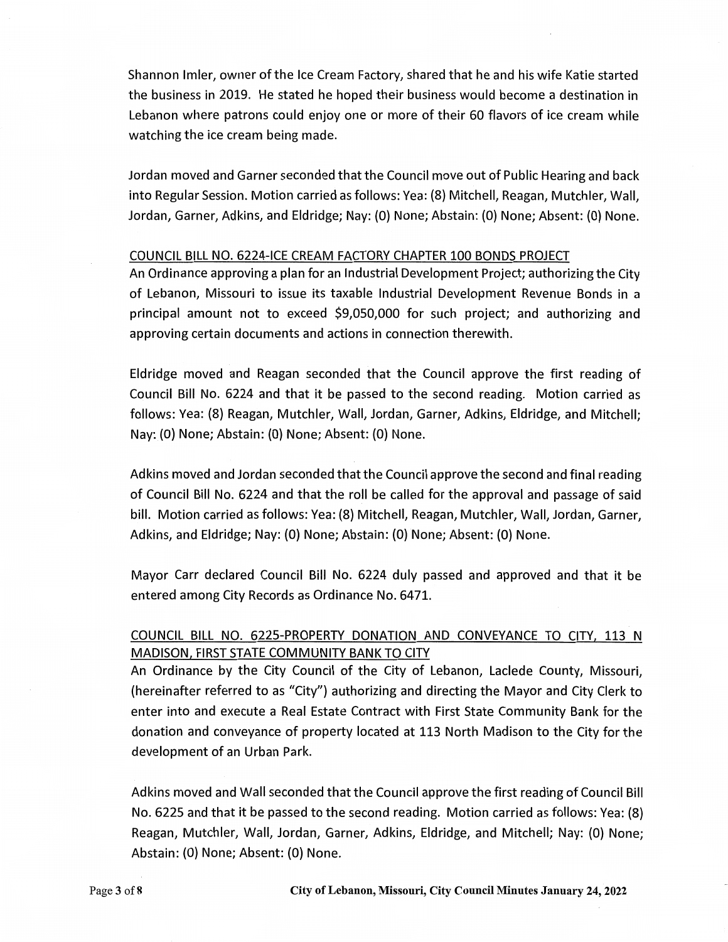Shannon Imler, owner of the Ice Cream Factory, shared that he and his wife Katie started the business in 2019. He stated he hoped their business would become a destination in Lebanon where patrons could enjoy one or more of their 60 flavors of ice cream while watching the ice cream being made.

Jordan moved and Garner seconded that the Council move out of Public Hearing and back into Regular Session. Motion carried as follows: Yea: (8) Mitchell, Reagan, Mutchler, Wall, Jordan, Garner, Adkins, and Eldridge; Nay: (0) None; Abstain: (0) None; Absent: (0) None.

#### COUNCIL BILL NO. 6224-ICE CREAM FACTORY CHAPTER 100 BONDS PROJECT

An Ordinance approving a plan for an Industrial Development Project; authorizing the City of Lebanon, Missouri to issue its taxable Industrial Development Revenue Bonds in a principal amount not to exceed \$9,050,000 for such project; and authorizing and approving certain documents and actions in connection therewith.

Eldridge moved and Reagan seconded that the Council approve the first reading of Council Bill No. 6224 and that it be passed to the second reading. Motion carried as follows: Yea: (8) Reagan, Mutchler, Wall, Jordan, Garner, Adkins, Eldridge, and Mitchell; Nay: (0) None; Abstain: (0) None; Absent: (0) None.

Adkins moved and Jordan seconded that the Council approve the second and final reading of Council Bill No. 6224 and that the roll be called for the approval and passage of said bill. Motion carried as follows: Yea: (8) Mitchell, Reagan, Mutchler, Wall, Jordan, Garner, Adkins, and Eldridge; Nay: (0) None; Abstain: (0) None; Absent: (0) None.

Mayor Carr declared Council Bill No. 6224 duly passed and approved and that it be entered among City Records as Ordinance No. 6471.

# COUNCIL BILL NO. 6225-PROPERTY DONATION AND CONVEYANCE TO CITY, 113 N MADISON, FIRST STATE COMMUNITY BANK TO CITY

An Ordinance by the City Council of the City of Lebanon, Laclede County, Missouri, (hereinafter referred to as "City") authorizing and directing the Mayor and City Clerk to enter into and execute a Real Estate Contract with First State Community Bank for the donation and conveyance of property located at 113 North Madison to the City for the development of an Urban Park.

Adkins moved and Wall seconded that the Council approve the first reading of Council Bill No. 6225 and that it be passed to the second reading. Motion carried as follows: Yea: (8) Reagan, Mutchler, Wall, Jordan, Garner, Adkins, Eldridge, and Mitchell; Nay: (0) None; Abstain: (0) None; Absent: (0) None.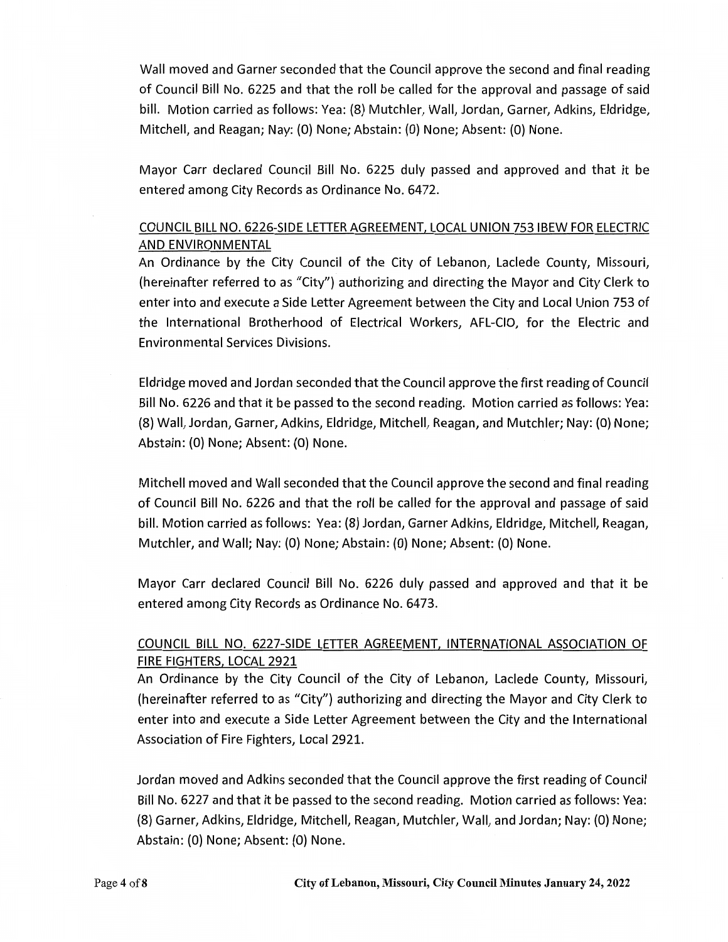Wall moved and Garner seconded that the Council approve the second and final reading of Council Bill No. 6225 and that the roll be called for the approval and passage of said bill. Motion carried as follows: Yea: (8) Mutchler, Wall, Jordan, Garner, Adkins, Eldridge, Mitchell, and Reagan; Nay: (O) None; Abstain: (O} None; Absent: (O} None.

Mayor Carr declared Council Bill No. 6225 duly passed and approved and that it be entered among City Records as Ordinance No. 6472.

# COUNCIL BILL NO. 6226-SIDE LETTER AGREEMENT, LOCAL UNION 753 IBEW FOR ELECTRIC AND ENVIRONMENTAL

An Ordinance by the City Council of the City of Lebanon, Laclede County, Missouri, (hereinafter referred to as "City") authorizing and directing the Mayor and City Clerk to enter into and execute a Side Letter Agreement between the City and Local Union 753 of the International Brotherhood of Electrical Workers, AFL-CIO, for the Electric and Environmental Services Divisions.

Eldridge moved and Jordan seconded that the Council approve the first reading of Council Bill No. 6226 and that it be passed to the second reading. Motion carried as follows: Yea: (8} Wall, Jordan, Garner, Adkins, Eldridge, Mitchell, Reagan, and Mutchler; Nay: (O} None; Abstain: (O} None; Absent: (O} None.

Mitchell moved and Wall seconded that the Council approve the second and final reading of Council Bill No. 6226 and that the roll be called for the approval and passage of said bill. Motion carried as follows: Yea: (8} Jordan, Garner Adkins, Eldridge, Mitchell, Reagan, Mutchler, and Wall; Nay: (O} None; Abstain: (O} None; Absent: (O} None.

Mayor Carr declared Council Bill No. 6226 duly passed and approved and that it be entered among City Records as Ordinance No. 6473.

# COUNCIL BILL NO. 6227-SIDE LETTER AGREEMENT, INTERNATIONAL ASSOCIATION OF FIRE FIGHTERS, LOCAL 2921

An Ordinance by the City Council of the City of Lebanon, Laclede County, Missouri, (hereinafter referred to as "City") authorizing and directing the Mayor and City Clerk to enter into and execute a Side Letter Agreement between the City and the International Association of Fire Fighters, Local 2921.

Jordan moved and Adkins seconded that the Council approve the first reading of Council Bill No. 6227 and that it be passed to the second reading. Motion carried as follows: Yea: (8} Garner, Adkins, Eldridge, Mitchell, Reagan, Mutchler, Wall, and Jordan; Nay: (O} None; Abstain: (O} None; Absent: (O} None.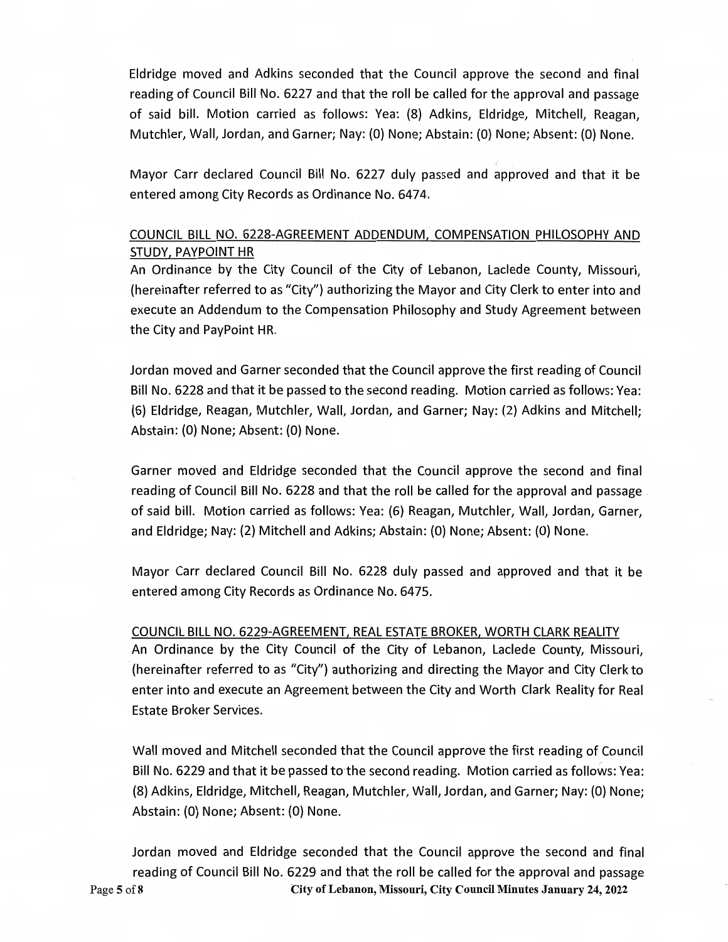Eldridge moved and Adkins seconded that the Council approve the second and final reading of Council Bill No. 6227 and that the roll be called for the approval and passage of said bill. Motion carried as follows: Yea: (8) Adkins, Eldridge, Mitchell, Reagan, Mutchler, Wall, Jordan, and Garner; Nay: (0) None; Abstain: (0) None; Absent: (0) None.

Mayor Carr declared Council Bill No. 6227 duly passed and approved and that it be entered among City Records as Ordinance No. 6474.

# COUNCIL BILL NO. 6228-AGREEMENT ADDENDUM, COMPENSATION PHILOSOPHY AND STUDY, PAYPOINT HR

An Ordinance by the City Council of the City of Lebanon, Laclede County, Missouri, (hereinafter referred to as "City") authorizing the Mayor and City Clerk to enter into and execute an Addendum to the Compensation Philosophy and Study Agreement between the City and PayPoint HR.

Jordan moved and Garner seconded that the Council approve the first reading of Council Bill No. 6228 and that it be passed to the second reading. Motion carried as follows: Yea: (6) Eldridge, Reagan, Mutchler, Wall, Jordan, and Garner; Nay: (2) Adkins and Mitchell; Abstain: (0) None; Absent: (0) None.

Garner moved and Eldridge seconded that the Council approve the second and final reading of Council Bill No. 6228 and that the roll be called for the approval and passage . of said bill. Motion carried as follows: Yea: (6) Reagan, Mutchler, Wall, Jordan, Garner, and Eldridge; Nay: (2) Mitchell and Adkins; Abstain: (0) None; Absent: (O) None.

Mayor Carr declared Council Bill No. 6228 duly passed and approved and that it be entered among City Records as Ordinance No. 6475.

COUNCIL BILL NO. 6229-AGREEMENT, REAL ESTATE BROKER, WORTH CLARK REALITY An Ordinance by the City Council of the City of Lebanon, Laclede County, Missouri, (hereinafter referred to as "City'') authorizing and directing the Mayor and City Clerk to enter into and execute an Agreement between the City and Worth Clark Reality for Real Estate Broker Services.

Wall moved and Mitchell seconded that the Council approve the first reading of Council Bill No. 6229 and that it be passed to the second reading. Motion carried as follows: Yea: (8) Adkins, Eldridge, Mitchell, Reagan, Mutchler, Wall, Jordan, and Garner; Nay: (0) None; Abstain: (0) None; Absent: (0) None.

Jordan moved and Eldridge seconded that the Council approve the second and final reading of Council Bill No. 6229 and that the roll be called for the approval and passage Page **5** of8 **City of Lebanon, Missouri, City Council Minutes January 24, 2022**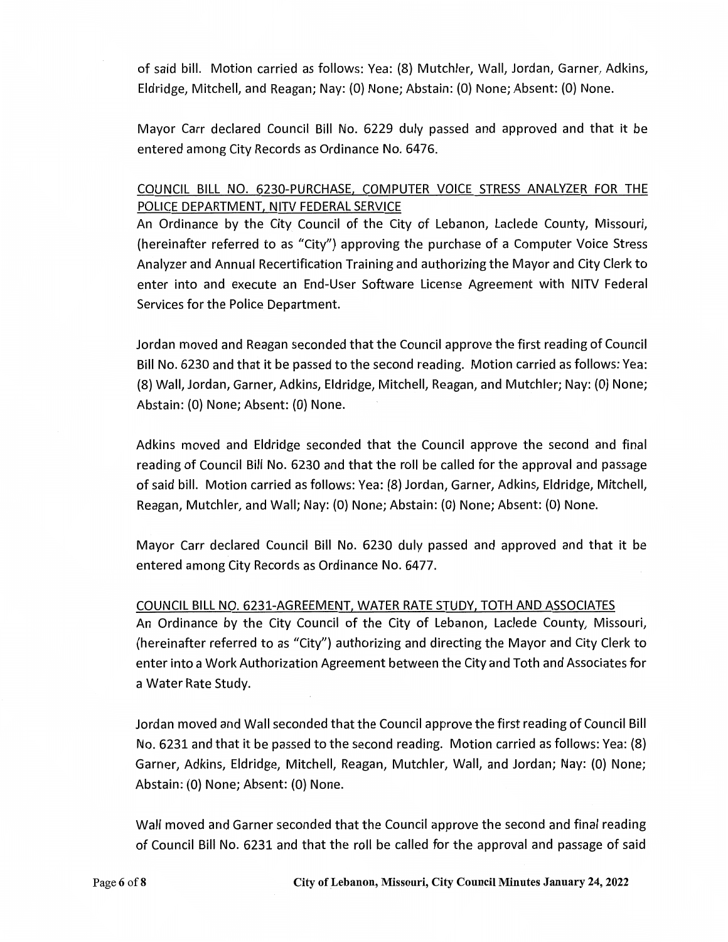of said bill. Motion carried as follows: Yea: (8) Mutchler, Wall, Jordan, Garner, Adkins, Eldridge, Mitchell, and Reagan; Nay: (0) None; Abstain: (0) None; Absent: (0) None.

Mayor Carr declared Council Bill No. 6229 duly passed and approved and that it be entered among City Records as Ordinance No. 6476.

# COUNCIL BILL NO. 6230-PURCHASE, COMPUTER VOICE STRESS ANALYZER FOR THE POLICE DEPARTMENT, NITV FEDERAL SERVICE

An Ordinance by the City Council of the City of Lebanon, Laclede County, Missouri, (hereinafter referred to as "City") approving the purchase of a Computer Voice Stress Analyzer and Annual Recertification Training and authorizing the Mayor and City Clerk to enter into and execute an End-User Software License Agreement with NITV Federal Services for the Police Department.

Jordan moved and Reagan seconded that the Council approve the first reading of Council Bill No. 6230 and that it be passed to the second reading. Motion carried as follows: Yea: (8) Wall, Jordan, Garner, Adkins, Eldridge, Mitchell, Reagan, and Mutchler; Nay: (0) None; Abstain: (0) None; Absent: (0) None.

Adkins moved and Eldridge seconded that the Council approve the second and final reading of Council Bill No. 6230 and that the roll be called for the approval and passage of said bill. Motion carried as follows: Vea: (8) Jordan, Garner, Adkins, Eldridge, Mitchell, Reagan, Mutchler, and Wall; Nay: (0) None; Abstain: (0) None; Absent: (0) None.

Mayor Carr declared Council Bill No. 6230 duly passed and approved and that it be entered among City Records as Ordinance No. 6477.

### COUNCIL BILL NO. 6231-AGREEMENT, WATER RATE STUDY, TOTH AND ASSOCIATES

An Ordinance by the City Council of the City of Lebanon, Laclede County, Missouri, (hereinafter referred to as "City") authorizing and directing the Mayor and City Clerk to enter into a Work Authorization Agreement between the City and Toth and Associates for a Water Rate Study.

Jordan moved and Wall seconded that the Council approve the first reading of Council Bill No. 6231 and that it be passed to the second reading. Motion carried as follows: Yea: (8) Garner, Adkins, Eldridge, Mitchell, Reagan, Mutchler, Wall, and Jordan; Nay: (0) None; Abstain: (0) None; Absent: (0) None.

Wall moved and Garner seconded that the Council approve the second and final reading of Council Bill No. 6231 and that the roll be called for the approval and passage of said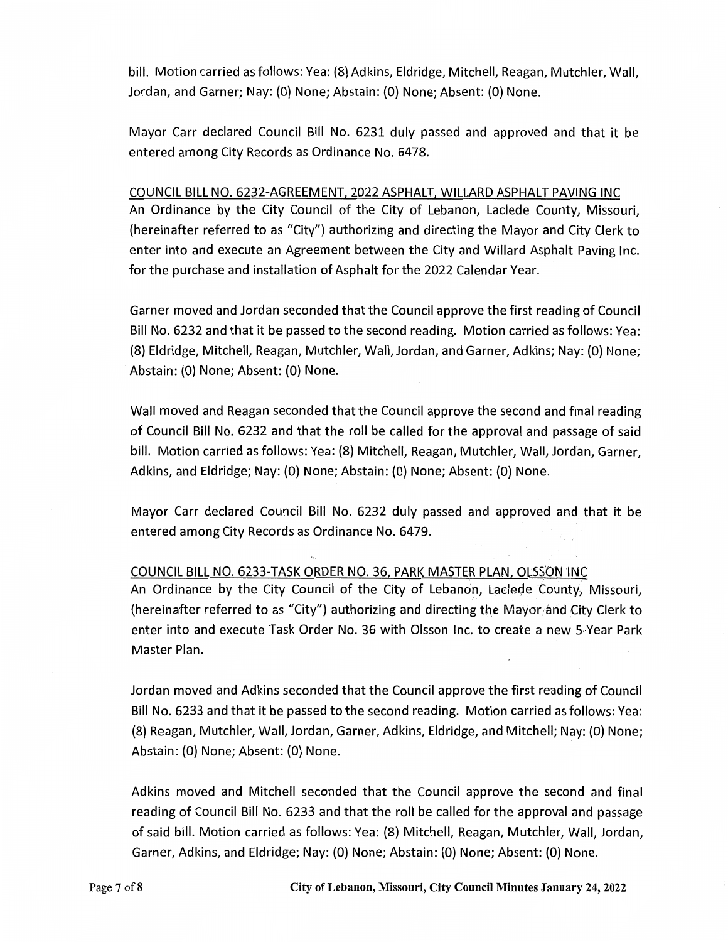bill. Motion carried as follows: Yea: (8) Adkins, Eldridge, Mitchell, Reagan, Mutchler, Wall, Jordan, and Garner; Nay: (0) None; Abstain: (0} None; Absent: (0) None.

Mayor Carr declared Council Bill No. 6231 duly passed and approved and that it be entered among City Records as Ordinance No. 6478.

### COUNCIL BILL NO. 6232-AGREEMENT, 2022 ASPHALT, WILLARD ASPHALT PAVING INC

An Ordinance by the City Council of the City of Lebanon, Laclede County, Missouri, (hereinafter referred to as "City") authorizing and directing the Mayor and City Clerk to enter into and execute an Agreement between the City and Willard Asphalt Paving Inc. for the purchase and installation of Asphalt for the 2022 Calendar Year.

Garner moved and Jordan seconded that the Council approve the first reading of Council Bill No. 6232 and that it be passed to the second reading. Motion carried as follows: Yea: (8) Eldridge, Mitchell, Reagan, Mutchler, Wall, Jordan, and Garner, Adkins; Nay: (0} None; Abstain: (0) None; Absent: (0} None.

Wall moved and Reagan seconded that the Council approve the second and final reading of Council Bill No. 6232 and that the roll be called for the approval and passage of said bill. Motion carried as follows: Yea: {8} Mitchell, Reagan, Mutchler, Wall, Jordan, Garner, Adkins, and Eldridge; Nay: (0} None; Abstain: (0} None; Absent: (0} None.

Mayor Carr declared Council Bill No. 6232 duly passed and approved and that it be entered among City Records as Ordinance No. 6479.

## COUNCIL BILL NO. 6233-TASK ORDER NO. 36, PARK MASTER PLAN, OLSSON INC

An Ordinance by the City Council of the City of Lebanon, Laclede County, Missouri, (hereinafter referred to as "City") authorizing and directing the Mayor and City Clerk to enter into and execute Task Order No. 36 with Olsson Inc. to create a new 5-Year Park Master Plan.

Jordan moved and Adkins seconded that the Council approve the first reading of Council Bill No. 6233 and that it be passed to the second reading. Motion carried as follows: Yea: {8} Reagan, Mutchler, Wall, Jordan, Garner, Adkins, Eldridge, and Mitchell; Nay: (0} None; Abstain: {0} None; Absent: (0} None.

Adkins moved and Mitchell seconded that the Council approve the second and final reading of Council Bill No. 6233 and that the roll be called for the approval and passage of said bill. Motion carried as follows: Yea: (8) Mitchell, Reagan, Mutchler, Wall, Jordan, Garner, Adkins, and Eldridge; Nay: (0) None; Abstain: (0} None; Absent: (0} None.